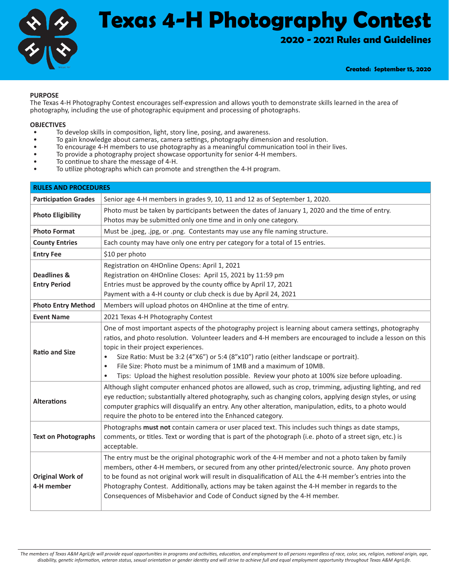

# **Texas 4-H Photography Contest**

**2020 - 2021 Rules and Guidelines**

**Created: September 15, 2020**

#### **PURPOSE**

The Texas 4-H Photography Contest encourages self-expression and allows youth to demonstrate skills learned in the area of photography, including the use of photographic equipment and processing of photographs.

- **OBJECTIVES**<br>• To develop skills in composition, light, story line, posing, and awareness.
- 
- To gain knowledge about cameras, camera settings, photography dimension and resolution.<br>• To encourage 4-H members to use photography as a meaningful communication tool in their lives.<br>• To provide a photography project
- 
- 
- 

| <b>RULES AND PROCEDURES</b>                   |                                                                                                                                                                                                                                                                                                                                                                                                                                                                                                                                                                    |  |  |  |  |
|-----------------------------------------------|--------------------------------------------------------------------------------------------------------------------------------------------------------------------------------------------------------------------------------------------------------------------------------------------------------------------------------------------------------------------------------------------------------------------------------------------------------------------------------------------------------------------------------------------------------------------|--|--|--|--|
| <b>Participation Grades</b>                   | Senior age 4-H members in grades 9, 10, 11 and 12 as of September 1, 2020.                                                                                                                                                                                                                                                                                                                                                                                                                                                                                         |  |  |  |  |
| <b>Photo Eligibility</b>                      | Photo must be taken by participants between the dates of January 1, 2020 and the time of entry.<br>Photos may be submitted only one time and in only one category.                                                                                                                                                                                                                                                                                                                                                                                                 |  |  |  |  |
| <b>Photo Format</b>                           | Must be .jpeg, .jpg, or .png. Contestants may use any file naming structure.                                                                                                                                                                                                                                                                                                                                                                                                                                                                                       |  |  |  |  |
| <b>County Entries</b>                         | Each county may have only one entry per category for a total of 15 entries.                                                                                                                                                                                                                                                                                                                                                                                                                                                                                        |  |  |  |  |
| <b>Entry Fee</b>                              | \$10 per photo                                                                                                                                                                                                                                                                                                                                                                                                                                                                                                                                                     |  |  |  |  |
| <b>Deadlines &amp;</b><br><b>Entry Period</b> | Registration on 4HOnline Opens: April 1, 2021<br>Registration on 4HOnline Closes: April 15, 2021 by 11:59 pm<br>Entries must be approved by the county office by April 17, 2021<br>Payment with a 4-H county or club check is due by April 24, 2021                                                                                                                                                                                                                                                                                                                |  |  |  |  |
| <b>Photo Entry Method</b>                     | Members will upload photos on 4HOnline at the time of entry.                                                                                                                                                                                                                                                                                                                                                                                                                                                                                                       |  |  |  |  |
| <b>Event Name</b>                             | 2021 Texas 4-H Photography Contest                                                                                                                                                                                                                                                                                                                                                                                                                                                                                                                                 |  |  |  |  |
| <b>Ratio and Size</b>                         | One of most important aspects of the photography project is learning about camera settings, photography<br>ratios, and photo resolution. Volunteer leaders and 4-H members are encouraged to include a lesson on this<br>topic in their project experiences.<br>Size Ratio: Must be 3:2 (4"X6") or 5:4 (8"x10") ratio (either landscape or portrait).<br>$\bullet$<br>File Size: Photo must be a minimum of 1MB and a maximum of 10MB.<br>$\bullet$<br>Tips: Upload the highest resolution possible. Review your photo at 100% size before uploading.<br>$\bullet$ |  |  |  |  |
| <b>Alterations</b>                            | Although slight computer enhanced photos are allowed, such as crop, trimming, adjusting lighting, and red<br>eye reduction; substantially altered photography, such as changing colors, applying design styles, or using<br>computer graphics will disqualify an entry. Any other alteration, manipulation, edits, to a photo would<br>require the photo to be entered into the Enhanced category.                                                                                                                                                                 |  |  |  |  |
| <b>Text on Photographs</b>                    | Photographs must not contain camera or user placed text. This includes such things as date stamps,<br>comments, or titles. Text or wording that is part of the photograph (i.e. photo of a street sign, etc.) is<br>acceptable.                                                                                                                                                                                                                                                                                                                                    |  |  |  |  |
| <b>Original Work of</b><br>4-H member         | The entry must be the original photographic work of the 4-H member and not a photo taken by family<br>members, other 4-H members, or secured from any other printed/electronic source. Any photo proven<br>to be found as not original work will result in disqualification of ALL the 4-H member's entries into the<br>Photography Contest. Additionally, actions may be taken against the 4-H member in regards to the<br>Consequences of Misbehavior and Code of Conduct signed by the 4-H member.                                                              |  |  |  |  |

*The members of Texas A&M AgriLife will provide equal opportunities in programs and activities, education, and employment to all persons regardless of race, color, sex, religion, national origin, age, disability, genetic information, veteran status, sexual orientation or gender identity and will strive to achieve full and equal employment opportunity throughout Texas A&M AgriLife.*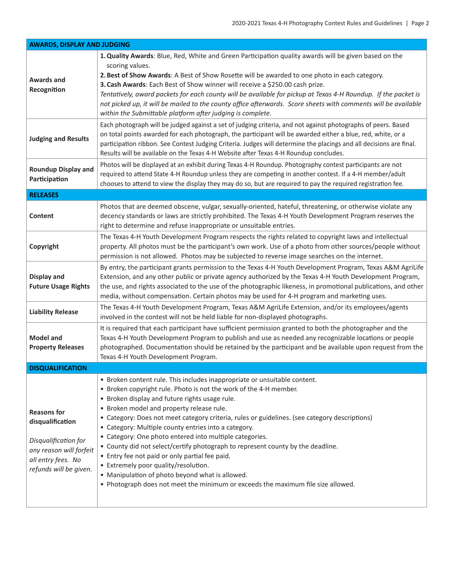| <b>AWARDS, DISPLAY AND JUDGING</b>                                                                                                        |                                                                                                                                                                                                                                                                                                                                                                                                                                                                                                                                                                                                                                                                                                                                                                                       |  |  |  |  |
|-------------------------------------------------------------------------------------------------------------------------------------------|---------------------------------------------------------------------------------------------------------------------------------------------------------------------------------------------------------------------------------------------------------------------------------------------------------------------------------------------------------------------------------------------------------------------------------------------------------------------------------------------------------------------------------------------------------------------------------------------------------------------------------------------------------------------------------------------------------------------------------------------------------------------------------------|--|--|--|--|
| <b>Awards and</b><br>Recognition                                                                                                          | 1. Quality Awards: Blue, Red, White and Green Participation quality awards will be given based on the<br>scoring values.<br>2. Best of Show Awards: A Best of Show Rosette will be awarded to one photo in each category.<br>3. Cash Awards: Each Best of Show winner will receive a \$250.00 cash prize.<br>Tentatively, award packets for each county will be available for pickup at Texas 4-H Roundup. If the packet is<br>not picked up, it will be mailed to the county office afterwards. Score sheets with comments will be available<br>within the Submittable platform after judging is complete.                                                                                                                                                                           |  |  |  |  |
| <b>Judging and Results</b>                                                                                                                | Each photograph will be judged against a set of judging criteria, and not against photographs of peers. Based<br>on total points awarded for each photograph, the participant will be awarded either a blue, red, white, or a<br>participation ribbon. See Contest Judging Criteria. Judges will determine the placings and all decisions are final.<br>Results will be available on the Texas 4-H Website after Texas 4-H Roundup concludes.                                                                                                                                                                                                                                                                                                                                         |  |  |  |  |
| <b>Roundup Display and</b><br>Participation                                                                                               | Photos will be displayed at an exhibit during Texas 4-H Roundup. Photography contest participants are not<br>required to attend State 4-H Roundup unless they are competing in another contest. If a 4-H member/adult<br>chooses to attend to view the display they may do so, but are required to pay the required registration fee.                                                                                                                                                                                                                                                                                                                                                                                                                                                 |  |  |  |  |
| <b>RELEASES</b>                                                                                                                           |                                                                                                                                                                                                                                                                                                                                                                                                                                                                                                                                                                                                                                                                                                                                                                                       |  |  |  |  |
| <b>Content</b>                                                                                                                            | Photos that are deemed obscene, vulgar, sexually-oriented, hateful, threatening, or otherwise violate any<br>decency standards or laws are strictly prohibited. The Texas 4-H Youth Development Program reserves the<br>right to determine and refuse inappropriate or unsuitable entries.                                                                                                                                                                                                                                                                                                                                                                                                                                                                                            |  |  |  |  |
| Copyright                                                                                                                                 | The Texas 4-H Youth Development Program respects the rights related to copyright laws and intellectual<br>property. All photos must be the participant's own work. Use of a photo from other sources/people without<br>permission is not allowed. Photos may be subjected to reverse image searches on the internet.                                                                                                                                                                                                                                                                                                                                                                                                                                                                  |  |  |  |  |
| <b>Display and</b><br><b>Future Usage Rights</b>                                                                                          | By entry, the participant grants permission to the Texas 4-H Youth Development Program, Texas A&M AgriLife<br>Extension, and any other public or private agency authorized by the Texas 4-H Youth Development Program,<br>the use, and rights associated to the use of the photographic likeness, in promotional publications, and other<br>media, without compensation. Certain photos may be used for 4-H program and marketing uses.                                                                                                                                                                                                                                                                                                                                               |  |  |  |  |
| <b>Liability Release</b>                                                                                                                  | The Texas 4-H Youth Development Program, Texas A&M AgriLife Extension, and/or its employees/agents<br>involved in the contest will not be held liable for non-displayed photographs.                                                                                                                                                                                                                                                                                                                                                                                                                                                                                                                                                                                                  |  |  |  |  |
| <b>Model and</b><br><b>Property Releases</b>                                                                                              | It is required that each participant have sufficient permission granted to both the photographer and the<br>Texas 4-H Youth Development Program to publish and use as needed any recognizable locations or people<br>photographed. Documentation should be retained by the participant and be available upon request from the<br>Texas 4-H Youth Development Program.                                                                                                                                                                                                                                                                                                                                                                                                                 |  |  |  |  |
| <b>DISQUALIFICATION</b>                                                                                                                   |                                                                                                                                                                                                                                                                                                                                                                                                                                                                                                                                                                                                                                                                                                                                                                                       |  |  |  |  |
| <b>Reasons for</b><br>disqualification<br>Disqualification for<br>any reason will forfeit<br>all entry fees. No<br>refunds will be given. | • Broken content rule. This includes inappropriate or unsuitable content.<br>• Broken copyright rule. Photo is not the work of the 4-H member.<br>• Broken display and future rights usage rule.<br>• Broken model and property release rule.<br>• Category: Does not meet category criteria, rules or guidelines. (see category descriptions)<br>• Category: Multiple county entries into a category.<br>• Category: One photo entered into multiple categories.<br>• County did not select/certify photograph to represent county by the deadline.<br>• Entry fee not paid or only partial fee paid.<br>• Extremely poor quality/resolution.<br>• Manipulation of photo beyond what is allowed.<br>. Photograph does not meet the minimum or exceeds the maximum file size allowed. |  |  |  |  |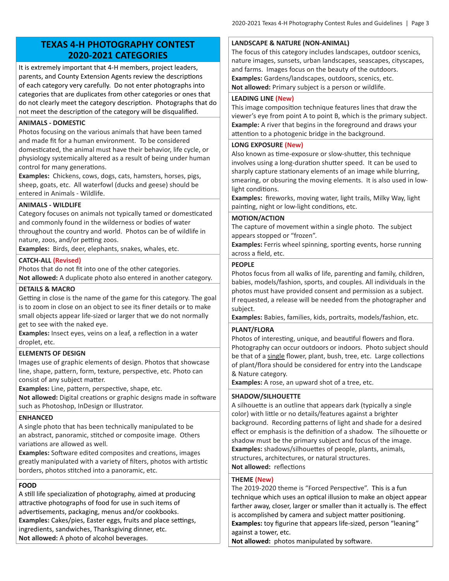### **TEXAS 4-H PHOTOGRAPHY CONTEST 2020-2021 CATEGORIES**

It is extremely important that 4-H members, project leaders, parents, and County Extension Agents review the descriptions of each category very carefully. Do not enter photographs into categories that are duplicates from other categories or ones that do not clearly meet the category description. Photographs that do not meet the description of the category will be disqualified.

#### **ANIMALS - DOMESTIC**

Photos focusing on the various animals that have been tamed and made fit for a human environment. To be considered domesticated, the animal must have their behavior, life cycle, or physiology systemically altered as a result of being under human control for many generations.

**Examples:** Chickens, cows, dogs, cats, hamsters, horses, pigs, sheep, goats, etc. All waterfowl (ducks and geese) should be entered in Animals - Wildlife.

#### **ANIMALS - WILDLIFE**

Category focuses on animals not typically tamed or domesticated and commonly found in the wilderness or bodies of water throughout the country and world. Photos can be of wildlife in nature, zoos, and/or petting zoos.

**Examples:** Birds, deer, elephants, snakes, whales, etc.

#### **CATCH-ALL (Revised)**

Photos that do not fit into one of the other categories. **Not allowed:** A duplicate photo also entered in another category.

#### **DETAILS & MACRO**

Getting in close is the name of the game for this category. The goal is to zoom in close on an object to see its finer details or to make small objects appear life-sized or larger that we do not normally get to see with the naked eye.

**Examples:** Insect eyes, veins on a leaf, a reflection in a water droplet, etc.

#### **ELEMENTS OF DESIGN**

Images use of graphic elements of design. Photos that showcase line, shape, pattern, form, texture, perspective, etc. Photo can consist of any subject matter.

**Examples:** Line, pattern, perspective, shape, etc.

**Not allowed:** Digital creations or graphic designs made in software such as Photoshop, InDesign or Illustrator.

#### **ENHANCED**

A single photo that has been technically manipulated to be an abstract, panoramic, stitched or composite image. Others variations are allowed as well.

**Examples:** Software edited composites and creations, images greatly manipulated with a variety of filters, photos with artistic borders, photos stitched into a panoramic, etc.

#### **FOOD**

A still life specialization of photography, aimed at producing attractive photographs of food for use in such items of advertisements, packaging, menus and/or cookbooks. **Examples:** Cakes/pies, Easter eggs, fruits and place settings, ingredients, sandwiches, Thanksgiving dinner, etc. **Not allowed:** A photo of alcohol beverages.

#### **LANDSCAPE & NATURE (NON-ANIMAL)**

The focus of this category includes landscapes, outdoor scenics, nature images, sunsets, urban landscapes, seascapes, cityscapes, and farms. Images focus on the beauty of the outdoors. **Examples:** Gardens/landscapes, outdoors, scenics, etc. **Not allowed:** Primary subject is a person or wildlife.

#### **LEADING LINE (New)**

This image composition technique features lines that draw the viewer's eye from point A to point B, which is the primary subject. **Example:** A river that begins in the foreground and draws your attention to a photogenic bridge in the background.

#### **LONG EXPOSURE (New)**

Also known as time-exposure or slow-shutter, this technique involves using a long-duration shutter speed. It can be used to sharply capture stationary elements of an image while blurring, smearing, or obsuring the moving elements. It is also used in lowlight conditions.

**Examples:** fireworks, moving water, light trails, Milky Way, light painting, night or low-light conditions, etc.

#### **MOTION/ACTION**

The capture of movement within a single photo. The subject appears stopped or "frozen".

**Examples:** Ferris wheel spinning, sporting events, horse running across a field, etc.

#### **PEOPLE**

Photos focus from all walks of life, parenting and family, children, babies, models/fashion, sports, and couples. All individuals in the photos must have provided consent and permission as a subject. If requested, a release will be needed from the photographer and subject.

**Examples:** Babies, families, kids, portraits, models/fashion, etc.

#### **PLANT/FLORA**

Photos of interesting, unique, and beautiful flowers and flora. Photography can occur outdoors or indoors. Photo subject should be that of a single flower, plant, bush, tree, etc. Large collections of plant/flora should be considered for entry into the Landscape & Nature category.

**Examples:** A rose, an upward shot of a tree, etc.

#### **SHADOW/SILHOUETTE**

A silhouette is an outline that appears dark (typically a single color) with little or no details/features against a brighter background. Recording patterns of light and shade for a desired effect or emphasis is the definition of a shadow. The silhouette or shadow must be the primary subject and focus of the image. **Examples:** shadows/silhouettes of people, plants, animals, structures, architectures, or natural structures. **Not allowed:** reflections

#### **THEME (New)**

The 2019-2020 theme is "Forced Perspective". This is a fun technique which uses an optical illusion to make an object appear farther away, closer, larger or smaller than it actually is. The effect is accomplished by camera and subject matter positioning. **Examples:** toy figurine that appears life-sized, person "leaning" against a tower, etc.

**Not allowed:** photos manipulated by software.